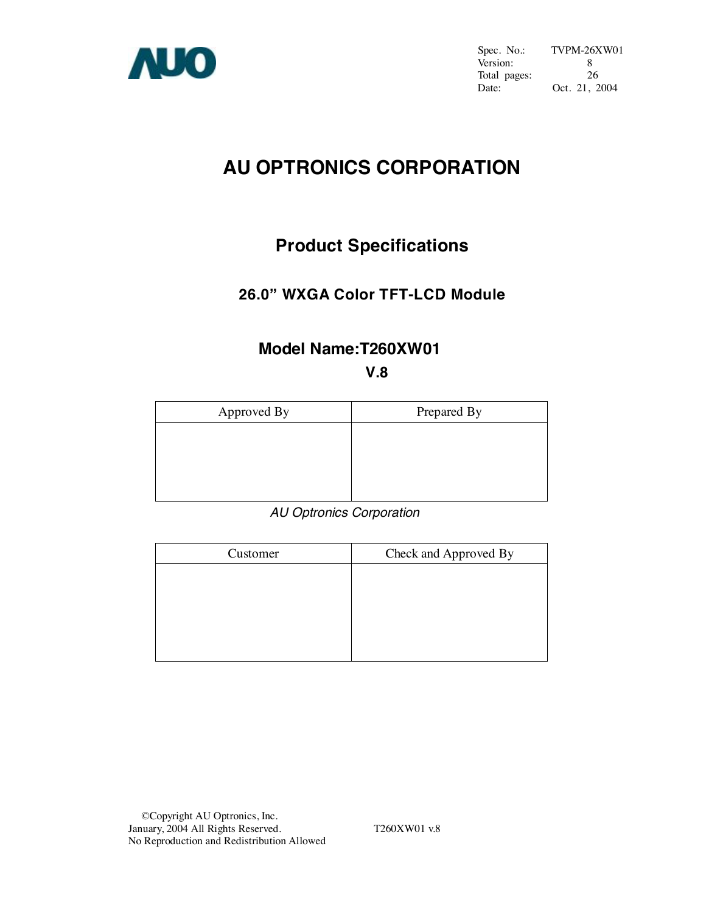

Spec. No.: TVPM-26XW01 Version: 8 Total pages: 26 Date: **Oct. 21, 2004** 

# **AU OPTRONICS CORPORATION**

# **Product Specifications**

# **26.0" WXGA Color TFT-LCD Module**

# **Model Name:T260XW01**

## **V.8**

| Approved By | Prepared By |
|-------------|-------------|
|             |             |
|             |             |
|             |             |
|             |             |

*AU Optronics Corporation*

| Customer | Check and Approved By |
|----------|-----------------------|
|          |                       |
|          |                       |
|          |                       |
|          |                       |
|          |                       |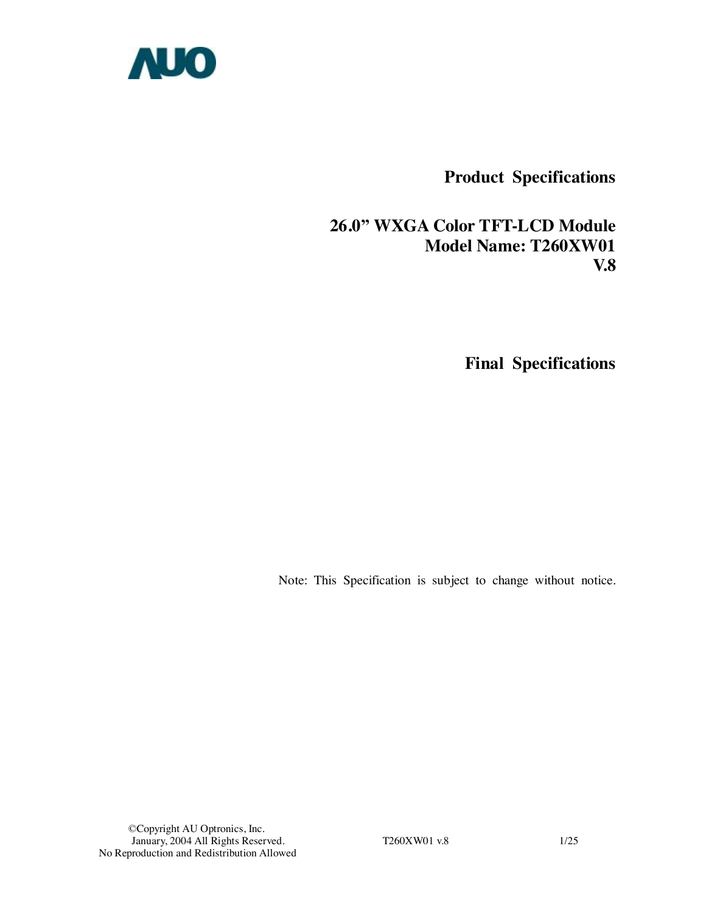

**Product Specifications** 

## **26.0" WXGA Color TFT-LCD Module Model Name: T260XW01 V.8**

 **Final Specifications** 

Note: This Specification is subject to change without notice.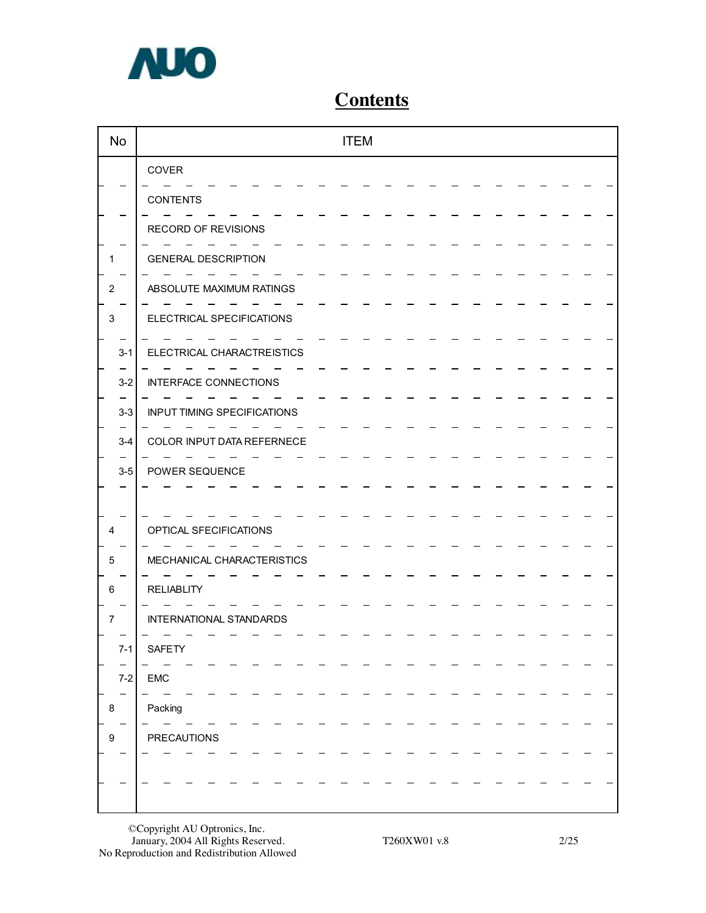

# **Contents**

| <b>No</b>        | <b>ITEM</b>                        |  |
|------------------|------------------------------------|--|
|                  | COVER                              |  |
|                  | <b>CONTENTS</b>                    |  |
|                  | RECORD OF REVISIONS                |  |
| 1                | <b>GENERAL DESCRIPTION</b>         |  |
| $\overline{c}$   | ABSOLUTE MAXIMUM RATINGS           |  |
| 3                | ELECTRICAL SPECIFICATIONS          |  |
| $3 - 1$          | ELECTRICAL CHARACTREISTICS         |  |
| $3 - 2$          | <b>INTERFACE CONNECTIONS</b>       |  |
| $3 - 3$          | <b>INPUT TIMING SPECIFICATIONS</b> |  |
| $3 - 4$          | COLOR INPUT DATA REFERNECE         |  |
| $3-5$            | POWER SEQUENCE                     |  |
|                  |                                    |  |
| 4                | OPTICAL SFECIFICATIONS             |  |
| 5                | MECHANICAL CHARACTERISTICS         |  |
| 6                | <b>RELIABLITY</b>                  |  |
| $\overline{7}$   | INTERNATIONAL STANDARDS            |  |
| $7-1$            | SAFETY                             |  |
| $7 - 2$          | ${\sf EMC}$                        |  |
|                  | Packing                            |  |
| 8                |                                    |  |
| $\boldsymbol{9}$ | <b>PRECAUTIONS</b>                 |  |
|                  |                                    |  |
|                  |                                    |  |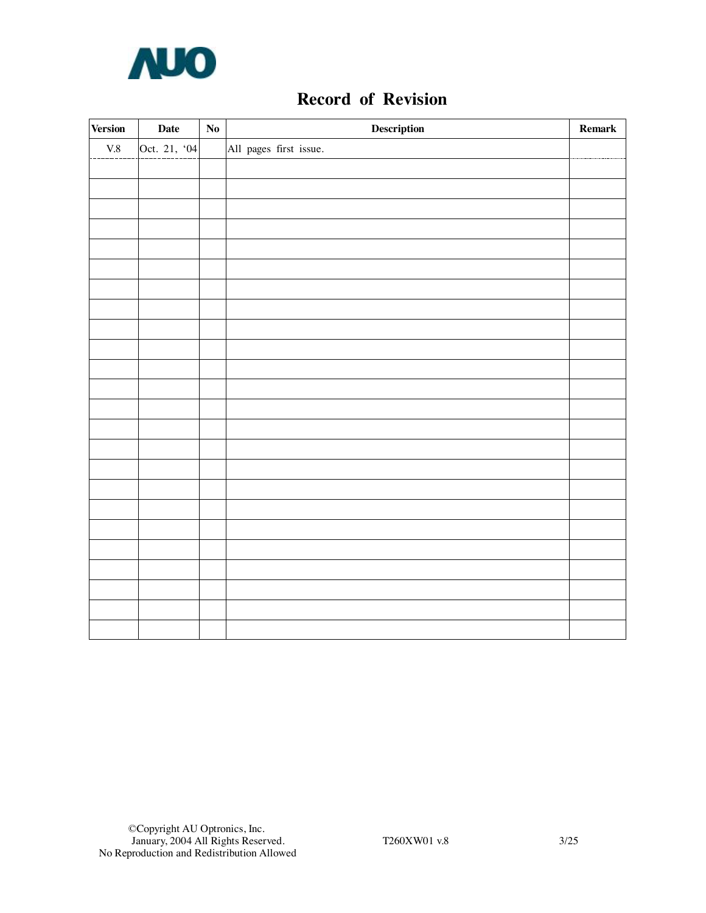

# **Record of Revision**

| <b>Version</b> | $\mathbf{Date}$ | $\mathbf{N}\mathbf{o}$ | $\begin{minipage}[c]{0.4\linewidth} \textbf{Description} \end{minipage} \vspace{-0.3cm}$ | $\boldsymbol{\text{Remark}}% \hspace*{1mm}\text{Re}\hspace*{1mm}\text{Re}\hspace*{1mm}\text{Re}\hspace*{1mm}\text{Re}\hspace*{1mm}\text{Re}\hspace*{1mm}\text{Im}\hspace*{1mm}\text{Im}\hspace*{1mm}\text{Im}\hspace*{1mm}\text{Im}\hspace*{1mm}\text{Im}\hspace*{1mm} \text{Im}\hspace*{1mm} \text{Im}\hspace*{1mm} \text{Im}\hspace*{1mm} \text{Im}\hspace*{1mm} \text{Im}\hspace*{1mm} \text{Im}\hspace*{1mm} \text{Im}\hspace*{1mm} \text{Im}\hspace*{$ |
|----------------|-----------------|------------------------|------------------------------------------------------------------------------------------|-------------------------------------------------------------------------------------------------------------------------------------------------------------------------------------------------------------------------------------------------------------------------------------------------------------------------------------------------------------------------------------------------------------------------------------------------------------|
| $\rm V.8$      | Oct. 21, '04    |                        | All pages first issue.                                                                   |                                                                                                                                                                                                                                                                                                                                                                                                                                                             |
|                |                 |                        |                                                                                          |                                                                                                                                                                                                                                                                                                                                                                                                                                                             |
|                |                 |                        |                                                                                          |                                                                                                                                                                                                                                                                                                                                                                                                                                                             |
|                |                 |                        |                                                                                          |                                                                                                                                                                                                                                                                                                                                                                                                                                                             |
|                |                 |                        |                                                                                          |                                                                                                                                                                                                                                                                                                                                                                                                                                                             |
|                |                 |                        |                                                                                          |                                                                                                                                                                                                                                                                                                                                                                                                                                                             |
|                |                 |                        |                                                                                          |                                                                                                                                                                                                                                                                                                                                                                                                                                                             |
|                |                 |                        |                                                                                          |                                                                                                                                                                                                                                                                                                                                                                                                                                                             |
|                |                 |                        |                                                                                          |                                                                                                                                                                                                                                                                                                                                                                                                                                                             |
|                |                 |                        |                                                                                          |                                                                                                                                                                                                                                                                                                                                                                                                                                                             |
|                |                 |                        |                                                                                          |                                                                                                                                                                                                                                                                                                                                                                                                                                                             |
|                |                 |                        |                                                                                          |                                                                                                                                                                                                                                                                                                                                                                                                                                                             |
|                |                 |                        |                                                                                          |                                                                                                                                                                                                                                                                                                                                                                                                                                                             |
|                |                 |                        |                                                                                          |                                                                                                                                                                                                                                                                                                                                                                                                                                                             |
|                |                 |                        |                                                                                          |                                                                                                                                                                                                                                                                                                                                                                                                                                                             |
|                |                 |                        |                                                                                          |                                                                                                                                                                                                                                                                                                                                                                                                                                                             |
|                |                 |                        |                                                                                          |                                                                                                                                                                                                                                                                                                                                                                                                                                                             |
|                |                 |                        |                                                                                          |                                                                                                                                                                                                                                                                                                                                                                                                                                                             |
|                |                 |                        |                                                                                          |                                                                                                                                                                                                                                                                                                                                                                                                                                                             |
|                |                 |                        |                                                                                          |                                                                                                                                                                                                                                                                                                                                                                                                                                                             |
|                |                 |                        |                                                                                          |                                                                                                                                                                                                                                                                                                                                                                                                                                                             |
|                |                 |                        |                                                                                          |                                                                                                                                                                                                                                                                                                                                                                                                                                                             |
|                |                 |                        |                                                                                          |                                                                                                                                                                                                                                                                                                                                                                                                                                                             |
|                |                 |                        |                                                                                          |                                                                                                                                                                                                                                                                                                                                                                                                                                                             |
|                |                 |                        |                                                                                          |                                                                                                                                                                                                                                                                                                                                                                                                                                                             |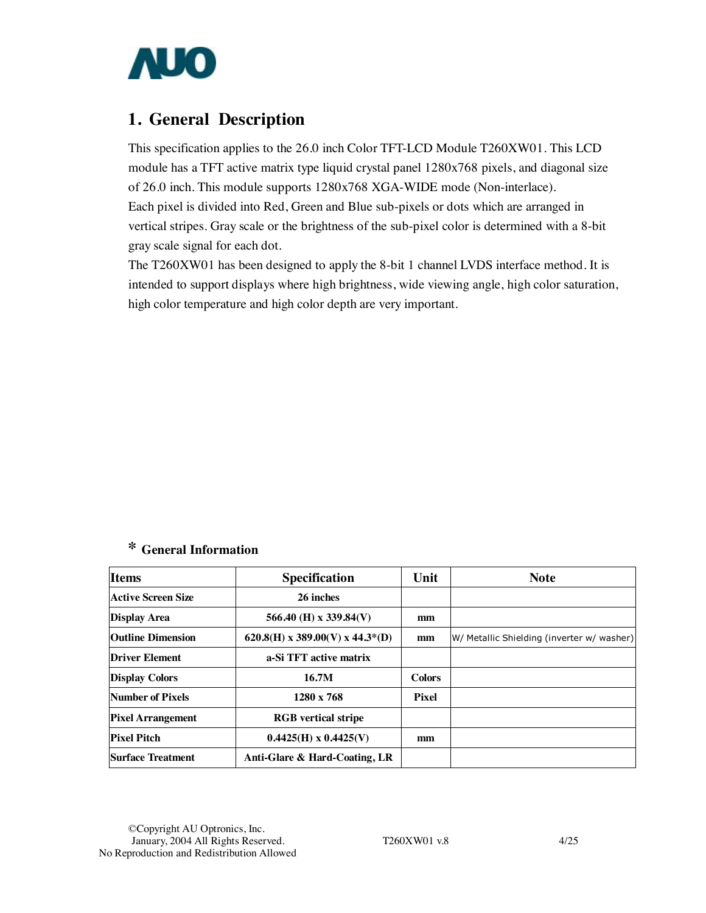

# **1. General Description**

This specification applies to the 26.0 inch Color TFT-LCD Module T260XW01. This LCD module has a TFT active matrix type liquid crystal panel 1280x768 pixels, and diagonal size of 26.0 inch. This module supports 1280x768 XGA-WIDE mode (Non-interlace). Each pixel is divided into Red, Green and Blue sub-pixels or dots which are arranged in vertical stripes. Gray scale or the brightness of the sub-pixel color is determined with a 8-bit gray scale signal for each dot.

The T260XW01 has been designed to apply the 8-bit 1 channel LVDS interface method. It is intended to support displays where high brightness, wide viewing angle, high color saturation, high color temperature and high color depth are very important.

## **\* General Information**

| <b>Items</b>              | <b>Specification</b>              | Unit          | <b>Note</b>                                |
|---------------------------|-----------------------------------|---------------|--------------------------------------------|
| <b>Active Screen Size</b> | 26 inches                         |               |                                            |
| <b>Display Area</b>       | 566.40 (H) x 339.84(V)            | mm            |                                            |
| <b>Outline Dimension</b>  | $620.8(H)$ x 389.00(V) x 44.3*(D) | mm            | W/ Metallic Shielding (inverter w/ washer) |
| <b>Driver Element</b>     | a-Si TFT active matrix            |               |                                            |
| <b>Display Colors</b>     | 16.7M                             | <b>Colors</b> |                                            |
| Number of Pixels          | 1280 x 768                        | <b>Pixel</b>  |                                            |
| <b>Pixel Arrangement</b>  | <b>RGB</b> vertical stripe        |               |                                            |
| <b>Pixel Pitch</b>        | $0.4425(H) \times 0.4425(V)$      | mm            |                                            |
| <b>Surface Treatment</b>  | Anti-Glare & Hard-Coating, LR     |               |                                            |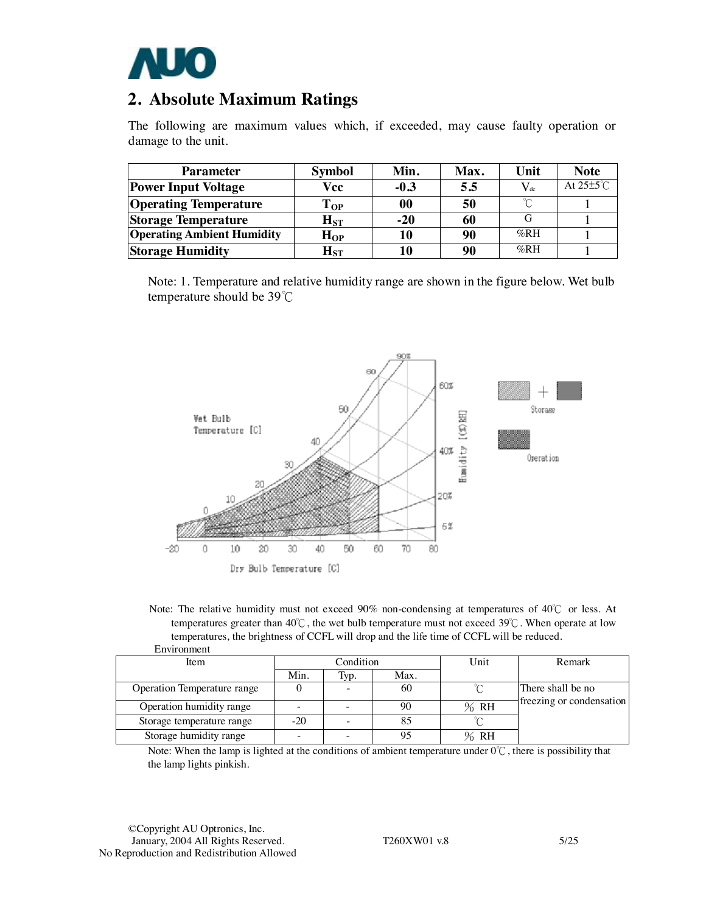

## **2. Absolute Maximum Ratings**

The following are maximum values which, if exceeded, may cause faulty operation or damage to the unit.

| <b>Parameter</b>                  | <b>Symbol</b>              | Min.   | Max. | Unit     | <b>Note</b>             |
|-----------------------------------|----------------------------|--------|------|----------|-------------------------|
| <b>Power Input Voltage</b>        | Vcc                        | $-0.3$ | 5.5  | $V_{dc}$ | At $25 \pm 5^{\circ}$ C |
| <b>Operating Temperature</b>      | $\bf Top$                  | 00     | 50   | $\sim$   |                         |
| <b>Storage Temperature</b>        | $\mathbf{H}_{\mathrm{ST}}$ | $-20$  | 60   |          |                         |
| <b>Operating Ambient Humidity</b> | $H_{OP}$                   | 10     | 90   | %RH      |                         |
| <b>Storage Humidity</b>           | $\mathbf{H}_{\mathrm{ST}}$ | 10     | 90   | %RH      |                         |

Note: 1. Temperature and relative humidity range are shown in the figure below. Wet bulb temperature should be 39℃





| <u>Lii vii viittivii t</u>  |           |      |      |      |                          |
|-----------------------------|-----------|------|------|------|--------------------------|
| Item                        | Condition |      |      | Unit | Remark                   |
|                             | Min.      | Typ. | Max. |      |                          |
| Operation Temperature range |           |      | 60   |      | There shall be no        |
| Operation humidity range    |           |      | 90   | % RH | freezing or condensation |
| Storage temperature range   | $-20$     |      | 85   |      |                          |
| Storage humidity range      | -         |      | 95   | %RH  |                          |

Note: When the lamp is lighted at the conditions of ambient temperature under  $0^{\circ}$ C, there is possibility that the lamp lights pinkish.

©Copyright AU Optronics, Inc. January, 2004 All Rights Reserved. T260XW01 v.8 5/25 No Reproduction and Redistribution Allowed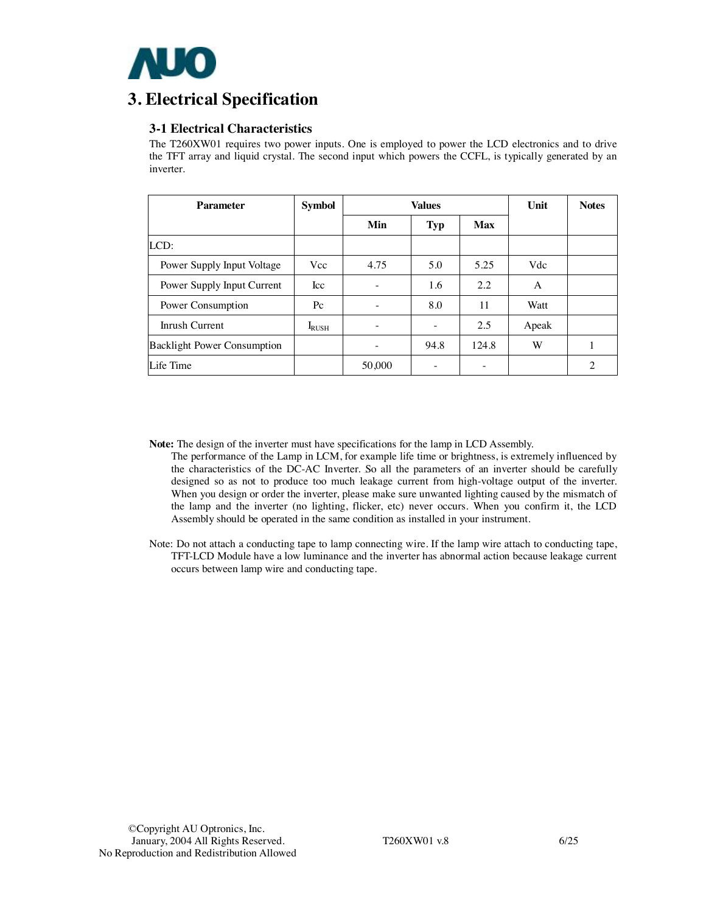

# **3. Electrical Specification**

### **3-1 Electrical Characteristics**

The T260XW01 requires two power inputs. One is employed to power the LCD electronics and to drive the TFT array and liquid crystal. The second input which powers the CCFL, is typically generated by an inverter.

| <b>Parameter</b>                   | <b>Symbol</b>  | <b>Values</b> |            |            | Unit  | <b>Notes</b>   |
|------------------------------------|----------------|---------------|------------|------------|-------|----------------|
|                                    |                | Min           | <b>Typ</b> | <b>Max</b> |       |                |
| LCD:                               |                |               |            |            |       |                |
| Power Supply Input Voltage         | Vcc            | 4.75          | 5.0        | 5.25       | Vdc   |                |
| Power Supply Input Current         | <b>Icc</b>     | -             | 1.6        | 2.2        | A     |                |
| Power Consumption                  | $P_{\rm C}$    | -             | 8.0        | 11         | Watt  |                |
| Inrush Current                     | $I_{\rm RUSH}$ | -             |            | 2.5        | Apeak |                |
| <b>Backlight Power Consumption</b> |                | -             | 94.8       | 124.8      | W     |                |
| Life Time                          |                | 50,000        |            |            |       | $\mathfrak{D}$ |

**Note:** The design of the inverter must have specifications for the lamp in LCD Assembly.

The performance of the Lamp in LCM, for example life time or brightness, is extremely influenced by the characteristics of the DC-AC Inverter. So all the parameters of an inverter should be carefully designed so as not to produce too much leakage current from high-voltage output of the inverter. When you design or order the inverter, please make sure unwanted lighting caused by the mismatch of the lamp and the inverter (no lighting, flicker, etc) never occurs. When you confirm it, the LCD Assembly should be operated in the same condition as installed in your instrument.

Note: Do not attach a conducting tape to lamp connecting wire. If the lamp wire attach to conducting tape, TFT-LCD Module have a low luminance and the inverter has abnormal action because leakage current occurs between lamp wire and conducting tape.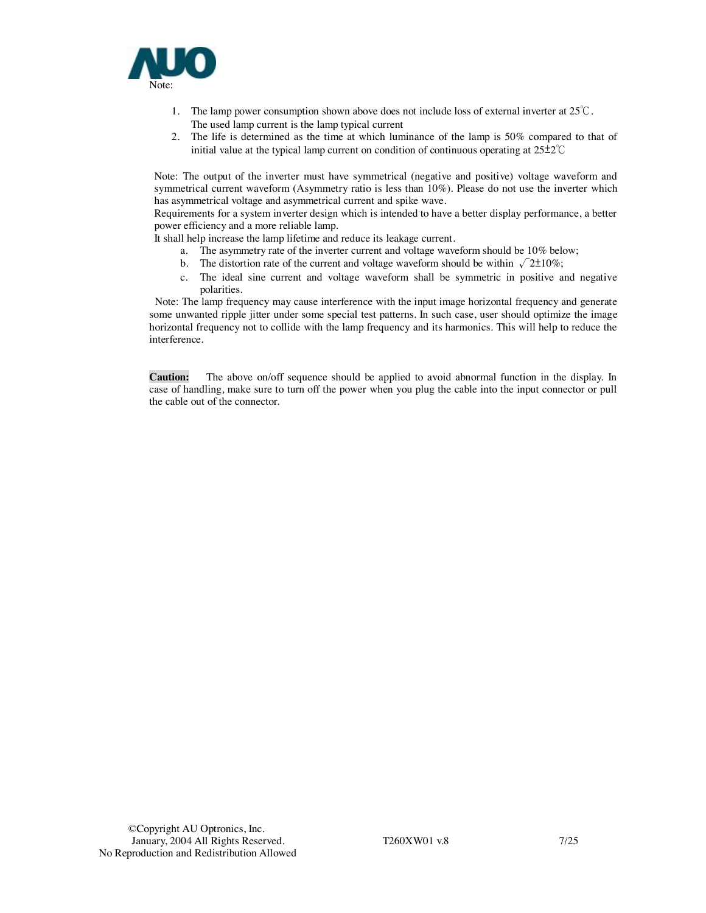

- 1. The lamp power consumption shown above does not include loss of external inverter at 25℃. The used lamp current is the lamp typical current
- 2. The life is determined as the time at which luminance of the lamp is 50% compared to that of initial value at the typical lamp current on condition of continuous operating at 25±2℃

Note: The output of the inverter must have symmetrical (negative and positive) voltage waveform and symmetrical current waveform (Asymmetry ratio is less than 10%). Please do not use the inverter which has asymmetrical voltage and asymmetrical current and spike wave.

Requirements for a system inverter design which is intended to have a better display performance, a better power efficiency and a more reliable lamp.

It shall help increase the lamp lifetime and reduce its leakage current.

- a. The asymmetry rate of the inverter current and voltage waveform should be 10% below;
- b. The distortion rate of the current and voltage waveform should be within  $\sqrt{2\pm 10\%}$ ;
- c. The ideal sine current and voltage waveform shall be symmetric in positive and negative polarities.

Note: The lamp frequency may cause interference with the input image horizontal frequency and generate some unwanted ripple jitter under some special test patterns. In such case, user should optimize the image horizontal frequency not to collide with the lamp frequency and its harmonics. This will help to reduce the interference.

**Caution:** The above on/off sequence should be applied to avoid abnormal function in the display. In case of handling, make sure to turn off the power when you plug the cable into the input connector or pull the cable out of the connector.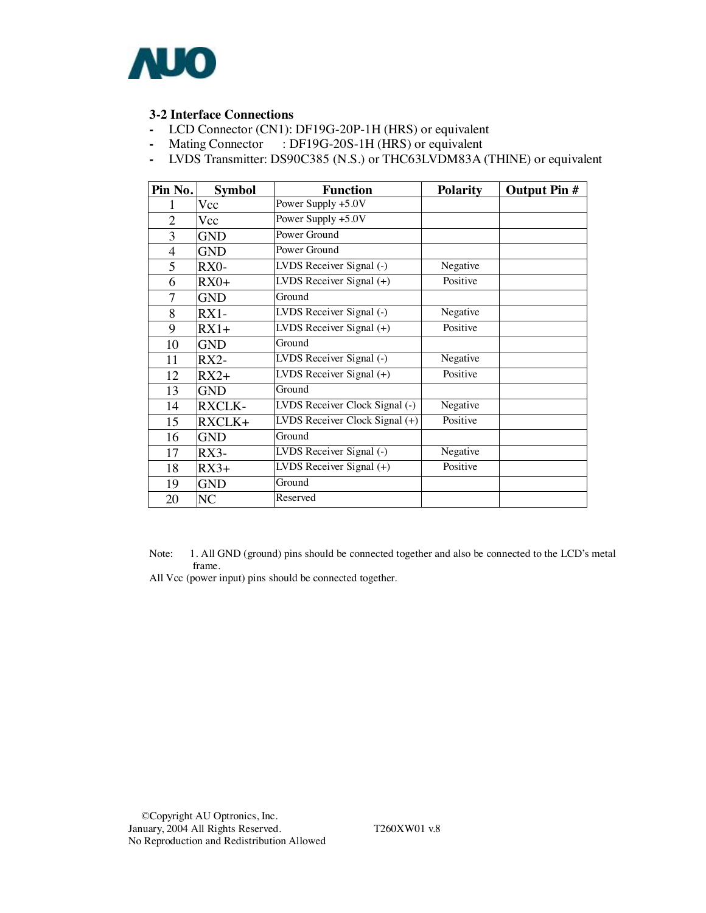

## **3-2 Interface Connections**

- LCD Connector (CN1): DF19G-20P-1H (HRS) or equivalent
- Mating Connector : DF19G-20S-1H (HRS) or equivalent
- LVDS Transmitter: DS90C385 (N.S.) or THC63LVDM83A (THINE) or equivalent

| Pin No.        | <b>Symbol</b> | <b>Function</b>                                 | <b>Polarity</b> | <b>Output Pin #</b> |
|----------------|---------------|-------------------------------------------------|-----------------|---------------------|
|                | Vcc           | Power Supply +5.0V                              |                 |                     |
| $\overline{2}$ | Vcc           | Power Supply +5.0V                              |                 |                     |
| 3              | <b>GND</b>    | Power Ground                                    |                 |                     |
| $\overline{4}$ | <b>GND</b>    | Power Ground                                    |                 |                     |
| 5              | RX0-          | LVDS Receiver Signal (-)                        | Negative        |                     |
| 6              | $RX0+$        | LVDS Receiver Signal $(+)$                      | Positive        |                     |
| 7              | <b>GND</b>    | Ground                                          |                 |                     |
| 8              | $RX1-$        | LVDS Receiver Signal (-)                        | Negative        |                     |
| 9              | $RX1+$        | LVDS Receiver Signal $(+)$                      | Positive        |                     |
| 10             | <b>GND</b>    | Ground                                          |                 |                     |
| 11             | $RX2-$        | LVDS Receiver Signal (-)                        | Negative        |                     |
| 12             | $RX2+$        | $\overline{\text{LVD}}$ S Receiver Signal $(+)$ | Positive        |                     |
| 13             | <b>GND</b>    | Ground                                          |                 |                     |
| 14             | <b>RXCLK-</b> | LVDS Receiver Clock Signal (-)                  | Negative        |                     |
| 15             | RXCLK+        | LVDS Receiver Clock Signal (+)                  | Positive        |                     |
| 16             | <b>GND</b>    | Ground                                          |                 |                     |
| 17             | $RX3-$        | LVDS Receiver Signal (-)                        | Negative        |                     |
| 18             | $RX3+$        | $\overline{\text{LVDS}}$ Receiver Signal $(+)$  | Positive        |                     |
| 19             | <b>GND</b>    | Ground                                          |                 |                     |
| 20             | NC            | Reserved                                        |                 |                     |

Note: 1. All GND (ground) pins should be connected together and also be connected to the LCD's metal frame.

All Vcc (power input) pins should be connected together.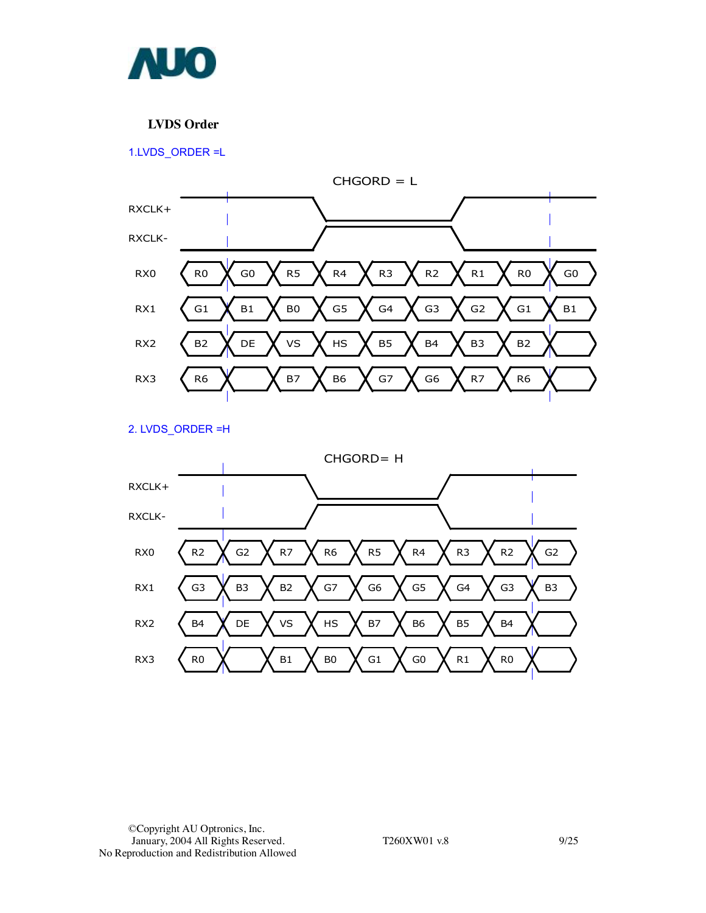

## **LVDS Order**

1.LVDS\_ORDER =L



2. LVDS\_ORDER =H

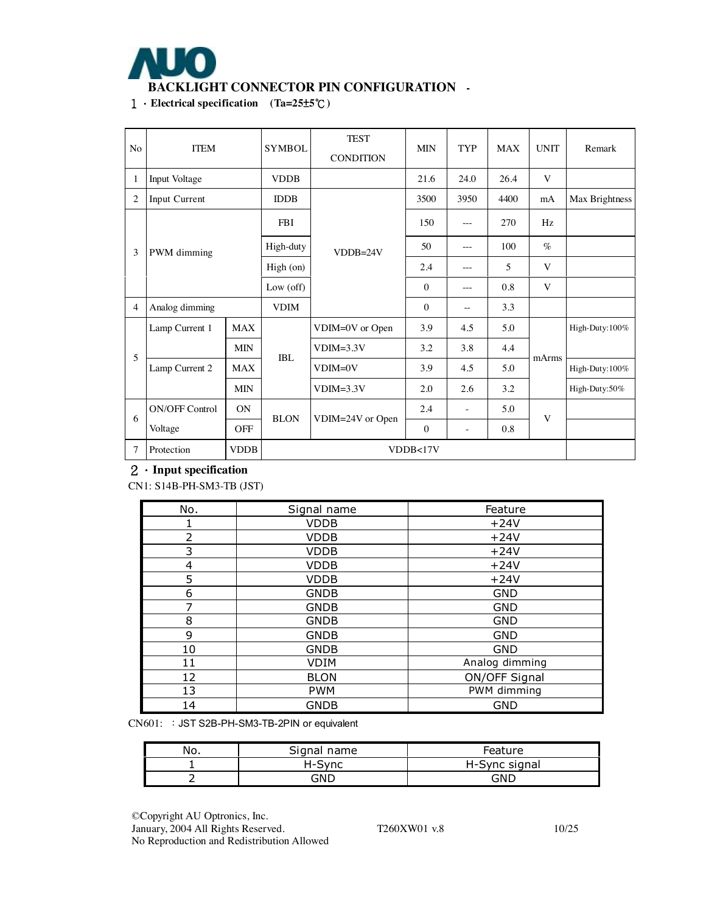

1.**Electrical specification (Ta=25**±**5**℃**)** 

| No             | <b>ITEM</b>           |             | <b>SYMBOL</b>   | <b>TEST</b><br><b>CONDITION</b> | <b>MIN</b> | TYP            | <b>MAX</b> | <b>UNIT</b> | Remark         |
|----------------|-----------------------|-------------|-----------------|---------------------------------|------------|----------------|------------|-------------|----------------|
| 1              | Input Voltage         |             | <b>VDDB</b>     |                                 | 21.6       | 24.0           | 26.4       | V           |                |
| $\overline{2}$ | Input Current         |             | <b>IDDB</b>     |                                 | 3500       | 3950           | 4400       | mA          | Max Brightness |
|                |                       |             | <b>FBI</b>      |                                 | 150        | $- - -$        | 270        | Hz          |                |
| 3              | PWM dimming           |             | High-duty       | $VDDB=24V$                      | 50         | ---            | 100        | $\%$        |                |
|                |                       |             | High (on)       |                                 | 2.4        | $- - -$        | 5          | V           |                |
|                |                       |             | Low $($ off $)$ |                                 | $\theta$   | ---            | 0.8        | V           |                |
| $\overline{4}$ | Analog dimming        |             | <b>VDIM</b>     |                                 | $\Omega$   | --             | 3.3        |             |                |
|                | Lamp Current 1        | <b>MAX</b>  |                 | VDIM=0V or Open                 | 3.9        | 4.5            | 5.0        |             | High-Duty:100% |
| 5              |                       | <b>MIN</b>  | IBL             | $VDIM=3.3V$                     | 3.2        | 3.8            | 4.4        | mArms       |                |
|                | Lamp Current 2        | <b>MAX</b>  |                 | $VDIM=0V$                       | 3.9        | 4.5            | 5.0        |             | High-Duty:100% |
|                |                       | <b>MIN</b>  |                 | $VDIM=3.3V$                     | 2.0        | 2.6            | 3.2        |             | High-Duty:50%  |
| 6              | <b>ON/OFF Control</b> | <b>ON</b>   | <b>BLON</b>     |                                 | 2.4        | $\overline{a}$ | 5.0        | V           |                |
|                | Voltage               | <b>OFF</b>  |                 | VDIM=24V or Open                | $\theta$   | $\overline{a}$ | 0.8        |             |                |
| 7              | Protection            | <b>VDDB</b> |                 | VDDB<17V                        |            |                |            |             |                |

### 2.**Input specification**

CN1: S14B-PH-SM3-TB (JST)

| No.            | Signal name                   | Feature    |  |
|----------------|-------------------------------|------------|--|
|                | <b>VDDB</b>                   | $+24V$     |  |
| $\overline{2}$ | <b>VDDB</b>                   | $+24V$     |  |
| 3              | <b>VDDB</b>                   | $+24V$     |  |
| 4              | <b>VDDB</b>                   | $+24V$     |  |
| 5              | <b>VDDB</b>                   | $+24V$     |  |
| 6              | <b>GNDB</b>                   | <b>GND</b> |  |
| 7              | <b>GNDB</b>                   | <b>GND</b> |  |
| 8              | <b>GNDB</b>                   | <b>GND</b> |  |
| 9              | <b>GNDB</b>                   | <b>GND</b> |  |
| 10             | <b>GND</b><br><b>GNDB</b>     |            |  |
| 11             | Analog dimming<br><b>VDIM</b> |            |  |
| 12             | ON/OFF Signal<br><b>BLON</b>  |            |  |
| 13             | PWM dimming<br><b>PWM</b>     |            |  |
| 14             | <b>GNDB</b>                   | <b>GND</b> |  |

CN601: :JST S2B-PH-SM3-TB-2PIN or equivalent

| No. | Signal name | Feature       |  |  |
|-----|-------------|---------------|--|--|
|     | H-Sync      | H-Sync signal |  |  |
|     | GND         | GND           |  |  |

©Copyright AU Optronics, Inc. January, 2004 All Rights Reserved. T260XW01 v.8 10/25 No Reproduction and Redistribution Allowed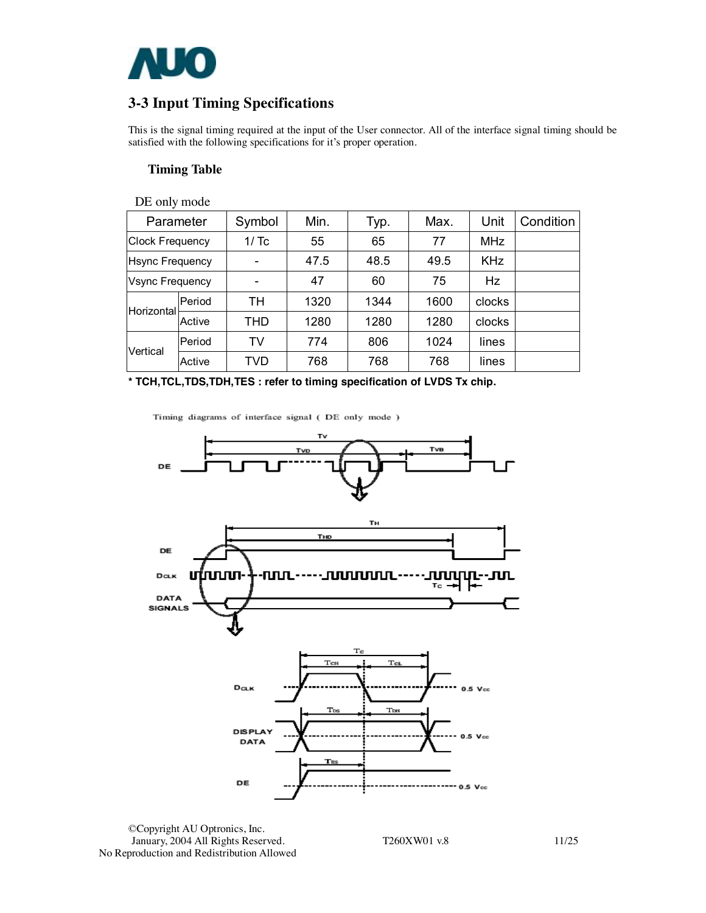

## **3-3 Input Timing Specifications**

This is the signal timing required at the input of the User connector. All of the interface signal timing should be satisfied with the following specifications for it's proper operation.

### **Timing Table**

DE only mode

| Parameter              |        | Symbol | Min. | Typ. | Max. | Unit       | Condition |
|------------------------|--------|--------|------|------|------|------------|-----------|
| <b>Clock Frequency</b> |        | 1/Tc   | 55   | 65   | 77   | <b>MHz</b> |           |
| <b>Hsync Frequency</b> |        |        | 47.5 | 48.5 | 49.5 | <b>KHz</b> |           |
| Vsync Frequency        |        |        | 47   | 60   | 75   | <b>Hz</b>  |           |
| Horizontal             | Period | TН     | 1320 | 1344 | 1600 | clocks     |           |
|                        | Active | THD    | 1280 | 1280 | 1280 | clocks     |           |
| Vertical               | Period | TV     | 774  | 806  | 1024 | lines      |           |
|                        | Active | TVD    | 768  | 768  | 768  | lines      |           |

**\* TCH,TCL,TDS,TDH,TES : refer to timing specification of LVDS Tx chip.**

Timing diagrams of interface signal (DE only mode )



©Copyright AU Optronics, Inc. January, 2004 All Rights Reserved. T260XW01 v.8 11/25 No Reproduction and Redistribution Allowed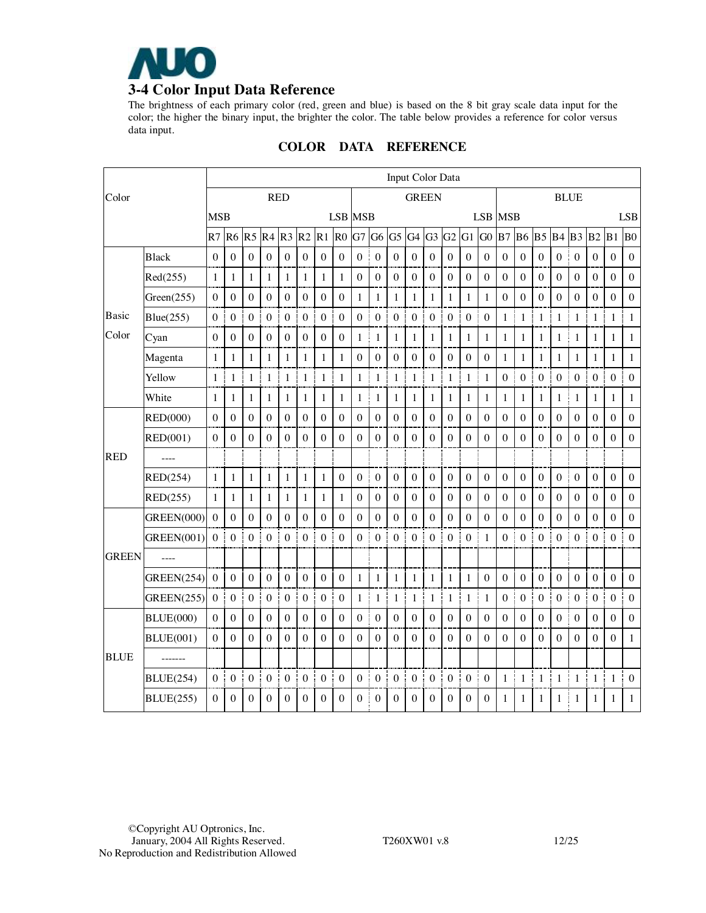

The brightness of each primary color (red, green and blue) is based on the 8 bit gray scale data input for the color; the higher the binary input, the brighter the color. The table below provides a reference for color versus data input.

|              |                   |                  |                   |                  |                  |                       |                       |                   |                       |                  |                   |                  | Input Color Data |                       |                  |                  |                  |                       |                   |                       |                       |                  |                       |                       |                      |
|--------------|-------------------|------------------|-------------------|------------------|------------------|-----------------------|-----------------------|-------------------|-----------------------|------------------|-------------------|------------------|------------------|-----------------------|------------------|------------------|------------------|-----------------------|-------------------|-----------------------|-----------------------|------------------|-----------------------|-----------------------|----------------------|
| Color        |                   |                  |                   |                  |                  | <b>RED</b>            |                       |                   |                       |                  |                   |                  | <b>GREEN</b>     |                       |                  |                  |                  |                       |                   |                       |                       | <b>BLUE</b>      |                       |                       |                      |
|              |                   | <b>MSB</b>       |                   |                  |                  |                       |                       |                   | <b>LSB MSB</b>        |                  |                   |                  |                  |                       |                  |                  |                  | <b>LSB MSB</b>        |                   |                       |                       |                  |                       |                       | <b>LSB</b>           |
|              |                   | R7               | R <sub>6</sub>    | R <sub>5</sub>   | R <sub>4</sub>   | R <sub>3</sub>        | R <sub>2</sub>        | R1                | R <sub>0</sub>        | G7               | G <sub>6</sub>    | G <sub>5</sub>   |                  | $G4$ $G3$             | G <sub>2</sub>   | G1               | G <sub>0</sub>   | B7                    | <b>B6</b>         | <b>B5</b>             | <b>B4</b>             | B <sub>3</sub>   | B <sub>2</sub>        | B1                    | B <sub>0</sub>       |
|              | Black             | $\boldsymbol{0}$ | $\boldsymbol{0}$  | $\boldsymbol{0}$ | $\boldsymbol{0}$ | $\mathbf{0}$          | $\mathbf{0}$          | $\boldsymbol{0}$  | $\boldsymbol{0}$      | $\boldsymbol{0}$ | $\mathbf{0}$      | $\boldsymbol{0}$ | $\boldsymbol{0}$ | $\boldsymbol{0}$      | $\boldsymbol{0}$ | $\boldsymbol{0}$ | $\boldsymbol{0}$ | $\boldsymbol{0}$      | $\boldsymbol{0}$  | $\boldsymbol{0}$      | $\boldsymbol{0}$      | $\boldsymbol{0}$ | $\boldsymbol{0}$      | $\boldsymbol{0}$      | $\mathbf{0}$         |
|              | Red(255)          | 1                | $\mathbf{1}$      | $\mathbf{1}$     | $\mathbf{1}$     | $\mathbf{1}$          | $\mathbf{1}$          | $\mathbf{1}$      | I<br>$\mathbf{1}$     | $\boldsymbol{0}$ | $\boldsymbol{0}$  | $\boldsymbol{0}$ | $\boldsymbol{0}$ | $\boldsymbol{0}$      | $\boldsymbol{0}$ | $\mathbf{0}$     | $\boldsymbol{0}$ | $\mathbf{0}$          | $\boldsymbol{0}$  | $\boldsymbol{0}$      | $\boldsymbol{0}$      | $\boldsymbol{0}$ | $\boldsymbol{0}$      | $\mathbf{0}$          | $\boldsymbol{0}$     |
|              | Green(255)        | $\boldsymbol{0}$ | $\boldsymbol{0}$  | $\boldsymbol{0}$ | $\mathbf{0}$     | $\boldsymbol{0}$      | $\mathbf{0}$          | $\boldsymbol{0}$  | $\boldsymbol{0}$      | 1                | $\mathbf{1}$      | 1                | $\mathbf{1}$     | 1                     | 1                | $\mathbf{1}$     | $\mathbf{1}$     | $\boldsymbol{0}$      | $\boldsymbol{0}$  | $\Omega$              | $\boldsymbol{0}$      | $\mathbf{0}$     | $\Omega$              | 0                     | $\mathbf{0}$         |
| <b>Basic</b> | Blue(255)         | $\theta$         | $\boldsymbol{0}$  | $\boldsymbol{0}$ | $\mathbf{0}$     | $\boldsymbol{0}$<br>Ē | $\mathbf{0}$          | $\mathbf{0}$      | Ī<br>$\boldsymbol{0}$ | $\Omega$         | $\mathbf{0}$      | $\mathbf{0}$     | $\mathbf{0}$     | $\boldsymbol{0}$<br>÷ | $\mathbf{0}$     | $\mathbf{0}$     | $\Omega$         | 1                     | ŧ<br>$\mathbf{1}$ | $\mathbf{1}$          | $\mathbf{1}$<br>Ē     | $\mathbf{1}$     | $\mathbf{1}$          | I<br>$\mathbf{1}$     | $\mathbf{1}$         |
| Color        | Cyan              | $\boldsymbol{0}$ | $\boldsymbol{0}$  | $\boldsymbol{0}$ | $\boldsymbol{0}$ | $\mathbf{0}$          | $\mathbf{0}$          | $\mathbf{0}$      | $\boldsymbol{0}$      | 1                | $\mathbf{1}$      | 1                | 1                | 1                     | 1                | 1                | 1                | 1                     | 1                 | $\mathbf{1}$          | 1                     | 1                | $\mathbf{1}$          | $\mathbf{1}$          | $\mathbf{1}$         |
|              | Magenta           | $\mathbf{1}$     | $\mathbf{1}$      | $\mathbf{1}$     | $\mathbf{1}$     | $\mathbf{1}$          | $\mathbf{1}$          | $\mathbf{1}$      | $\mathbf{1}$          | $\mathbf{0}$     | $\boldsymbol{0}$  | $\boldsymbol{0}$ | $\boldsymbol{0}$ | $\boldsymbol{0}$      | $\boldsymbol{0}$ | $\boldsymbol{0}$ | $\boldsymbol{0}$ | 1                     | $\mathbf{1}$      | $\mathbf{1}$          | $\mathbf{1}$          | $\mathbf{1}$     | $\mathbf{1}$          | 1                     | $\mathbf{1}$         |
|              | Yellow            | $\mathbf{1}$     | $\mathbf{1}$<br>j | $\mathbf{1}$     | $\mathbf{1}$     | I<br>$\mathbf{1}$     | $\mathbf{1}$          | 1 <sup>1</sup>    | $\mathbf{1}$          | $\mathbf{1}$     | $\mathbf{1}$<br>j | $\mathbf{1}$     | $\mathbf{1}$     | $\mathbf{1}$<br>ŧ     | $\mathbf{1}$     | $\mathbf{1}$     | $\mathbf{1}$     | ł<br>$\boldsymbol{0}$ | $\boldsymbol{0}$  | $\boldsymbol{0}$<br>Ī | $\boldsymbol{0}$      | $\boldsymbol{0}$ | $\boldsymbol{0}$      | Ī<br>$\boldsymbol{0}$ | $\boldsymbol{0}$     |
|              | White             | 1                | $\mathbf{1}$      | 1                | $\mathbf{1}$     | $\mathbf{1}$          | $\mathbf{1}$          | $\mathbf{1}$      | $\mathbf{1}$          | 1                | $\mathbf{1}$<br>j | 1                | $\mathbf{1}$     | 1                     | $\mathbf{1}$     | $\mathbf{1}$     | $\mathbf{1}$     | 1                     | $\mathbf{1}$      | $\mathbf{1}$          | 1                     | $\mathbf{1}$     | $\mathbf{1}$          | $\mathbf{1}$          | $\mathbf{1}$         |
|              | <b>RED(000)</b>   | $\mathbf{0}$     | $\boldsymbol{0}$  | $\mathbf{0}$     | $\boldsymbol{0}$ | $\mathbf{0}$          | $\mathbf{0}$          | $\boldsymbol{0}$  | $\overline{0}$        | $\boldsymbol{0}$ | $\mathbf{0}$      | $\mathbf{0}$     | $\boldsymbol{0}$ | $\mathbf{0}$          | $\boldsymbol{0}$ | $\mathbf{0}$     | $\boldsymbol{0}$ | 0                     | $\boldsymbol{0}$  | $\mathbf{0}$          | $\mathbf{0}$          | $\mathbf{0}$     | $\overline{0}$        | $\boldsymbol{0}$      | $\boldsymbol{0}$     |
|              | <b>RED(001)</b>   | $\mathbf{0}$     | $\boldsymbol{0}$  | $\boldsymbol{0}$ | $\boldsymbol{0}$ | $\boldsymbol{0}$      | $\boldsymbol{0}$      | $\boldsymbol{0}$  | $\boldsymbol{0}$      | $\mathbf{0}$     | $\boldsymbol{0}$  | $\boldsymbol{0}$ | $\boldsymbol{0}$ | $\boldsymbol{0}$      | $\boldsymbol{0}$ | $\boldsymbol{0}$ | $\mathbf{0}$     | $\boldsymbol{0}$      | $\boldsymbol{0}$  | $\boldsymbol{0}$      | $\boldsymbol{0}$      | $\boldsymbol{0}$ | $\boldsymbol{0}$      | $\boldsymbol{0}$      | $\mathbf{0}$         |
| <b>RED</b>   | $\cdots$          |                  |                   |                  |                  |                       |                       |                   |                       |                  |                   |                  |                  |                       |                  |                  |                  |                       |                   |                       |                       |                  |                       |                       |                      |
|              | RED(254)          | 1                | $\mathbf{1}$      | 1                | $\mathbf{1}$     | 1                     | 1                     | 1                 | $\mathbf{0}$          | $\mathbf{0}$     | $\mathbf{0}$      | $\mathbf{0}$     | $\mathbf{0}$     | $\mathbf{0}$          | $\mathbf{0}$     | $\mathbf{0}$     | $\mathbf{0}$     | $\mathbf{0}$          | $\mathbf{0}$      | $\theta$              | $\boldsymbol{0}$      | $\mathbf{0}$     | $\theta$              | $\theta$              | $\mathbf{0}$         |
|              | RED(255)          | 1                | 1                 | 1                | 1                | 1                     | 1                     | $\mathbf{1}$<br>÷ | 1                     | 0                | $\mathbf{0}$      | $\mathbf{0}$     | $\mathbf{0}$     | 0                     | $\mathbf{0}$     | $\mathbf{0}$     | $\theta$         | 0                     | $\theta$          | $\overline{0}$        | $\mathbf{0}$          | $\mathbf{0}$     | $\mathbf{0}$          | $\theta$              | $\theta$             |
|              | <b>GREEN(000)</b> | $\mathbf{0}$     | $\mathbf{0}$      | $\theta$         | $\boldsymbol{0}$ | $\theta$              | $\Omega$              | $\theta$          | $\mathbf{0}$          | $\boldsymbol{0}$ | $\boldsymbol{0}$  | $\theta$         | $\boldsymbol{0}$ | $\Omega$              | $\Omega$         | $\Omega$         | $\Omega$         | $\theta$              | $\theta$          | $\Omega$              | $\boldsymbol{0}$      | $\Omega$         | $\Omega$              | $\Omega$              | $\mathbf{0}$         |
|              | <b>GREEN(001)</b> | $\Omega$         | $\mathbf{0}$      | $\Omega$         | $\boldsymbol{0}$ | $\mathbf{0}$<br>÷     | $\theta$              | $\theta$          | ŧ<br>$\overline{0}$   | $\Omega$         | $\boldsymbol{0}$  | $\boldsymbol{0}$ | $\mathbf{0}$     | $\mathbf{0}$<br>Ξ     | $\boldsymbol{0}$ | $\theta$         | $\mathbf{1}$     | $\Omega$              | j.<br>$\Omega$    | $\mathbf{0}$          | $\theta$<br>Ŧ         | $\theta$         | $\mathbf{0}$          | t<br>$\theta$         | $\mathbf{0}$         |
| <b>GREEN</b> |                   |                  |                   |                  |                  |                       |                       |                   |                       |                  |                   |                  |                  |                       |                  |                  |                  |                       |                   |                       |                       |                  |                       |                       |                      |
|              | <b>GREEN(254)</b> | $\boldsymbol{0}$ | $\mathbf{0}$      | $\mathbf{0}$     | $\boldsymbol{0}$ | $\mathbf{0}$          | $\mathbf{0}$          | $\mathbf{0}$      | $\mathbf{0}$          | $\mathbf{1}$     | $\mathbf{1}$      | 1                | 1                | 1                     | 1                | $\mathbf{1}$     | $\mathbf{0}$     | 0                     | $\boldsymbol{0}$  | $\mathbf{0}$          | $\boldsymbol{0}$      | $\mathbf{0}$     | $\mathbf{0}$          | $\boldsymbol{0}$<br>÷ | $\mathbf{0}$         |
|              | <b>GREEN(255)</b> | $\mathbf{0}$     | $\boldsymbol{0}$  | $\boldsymbol{0}$ | $\boldsymbol{0}$ | $\boldsymbol{0}$      | $\boldsymbol{0}$      | $\boldsymbol{0}$  | Ī<br>$\boldsymbol{0}$ | 1                | $\mathbf{1}$      | $\mathbf{1}$     | $\mathbf{1}$     | ŧ<br>$\mathbf{1}$     | $\mathbf{1}$     | $\mathbf{1}$     | $\mathbf{1}$     | ÷<br>$\boldsymbol{0}$ | $\boldsymbol{0}$  | $\boldsymbol{0}$      | ŧ<br>$\boldsymbol{0}$ | $\bf{0}$         | ÷<br>$\boldsymbol{0}$ | $\boldsymbol{0}$      | $\mathbf{0}$         |
|              | <b>BLUE(000)</b>  | $\mathbf{0}$     | $\boldsymbol{0}$  | $\mathbf{0}$     | $\mathbf{0}$     | $\mathbf{0}$          | $\overline{0}$        | $\boldsymbol{0}$  | $\boldsymbol{0}$      | $\boldsymbol{0}$ | $\boldsymbol{0}$  | $\overline{0}$   | $\mathbf{0}$     | $\mathbf{0}$          | $\mathbf{0}$     | $\mathbf{0}$     | $\mathbf{0}$     | $\mathbf{0}$          | $\mathbf{0}$      | $\mathbf{0}$          | $\boldsymbol{0}$      | $\mathbf{0}$     | $\mathbf{0}$          | $\boldsymbol{0}$      | $\boldsymbol{0}$     |
|              | <b>BLUE(001)</b>  | $\theta$         | $\boldsymbol{0}$  | $\Omega$         | $\boldsymbol{0}$ | $\boldsymbol{0}$      | $\boldsymbol{0}$      | $\mathbf{0}$      | $\boldsymbol{0}$      | $\mathbf{0}$     | $\mathbf{0}$      | $\boldsymbol{0}$ | $\boldsymbol{0}$ | $\boldsymbol{0}$      | $\boldsymbol{0}$ | $\mathbf{0}$     | $\theta$         | $\overline{0}$        | $\boldsymbol{0}$  | $\mathbf{0}$          | $\boldsymbol{0}$      | $\boldsymbol{0}$ | $\mathbf{0}$          | $\mathbf{0}$          | $\mathbf{1}$         |
| <b>BLUE</b>  | -------           |                  |                   |                  |                  |                       |                       |                   |                       |                  |                   |                  |                  |                       |                  |                  |                  |                       |                   |                       |                       |                  |                       |                       |                      |
|              | <b>BLUE(254)</b>  | $\overline{0}$   | $\boldsymbol{0}$  | $\boldsymbol{0}$ | $\boldsymbol{0}$ | t<br>$\boldsymbol{0}$ | ł<br>$\boldsymbol{0}$ | 0                 | $\mathbf{0}$          | $\bf{0}$         | $\boldsymbol{0}$  | $\boldsymbol{0}$ | $\boldsymbol{0}$ | t<br>$\boldsymbol{0}$ | $\boldsymbol{0}$ | $\overline{0}$   | $\overline{0}$   | 1 <sup>1</sup>        | $\mathbf{1}$      | $\mathbf{1}$          | ł<br>$\mathbf{1}$     | $\mathbf{1}$     | $\mathbf{1}$<br>÷     | ÷,<br>$\mathbf{1}$    | ł.<br>$\overline{0}$ |
|              | <b>BLUE(255)</b>  | $\Omega$         | $\mathbf{0}$      | $\boldsymbol{0}$ | $\mathbf{0}$     | $\mathbf{0}$          | $\mathbf{0}$          | $\mathbf{0}$      | $\boldsymbol{0}$      | $\boldsymbol{0}$ | $\boldsymbol{0}$  | $\theta$         | $\boldsymbol{0}$ | $\boldsymbol{0}$      | $\mathbf{0}$     | $\theta$         | $\boldsymbol{0}$ | 1                     | 1                 | 1                     | 1                     | 1                | 1                     | 1                     | $\mathbf{1}$         |

## **COLOR DATA REFERENCE**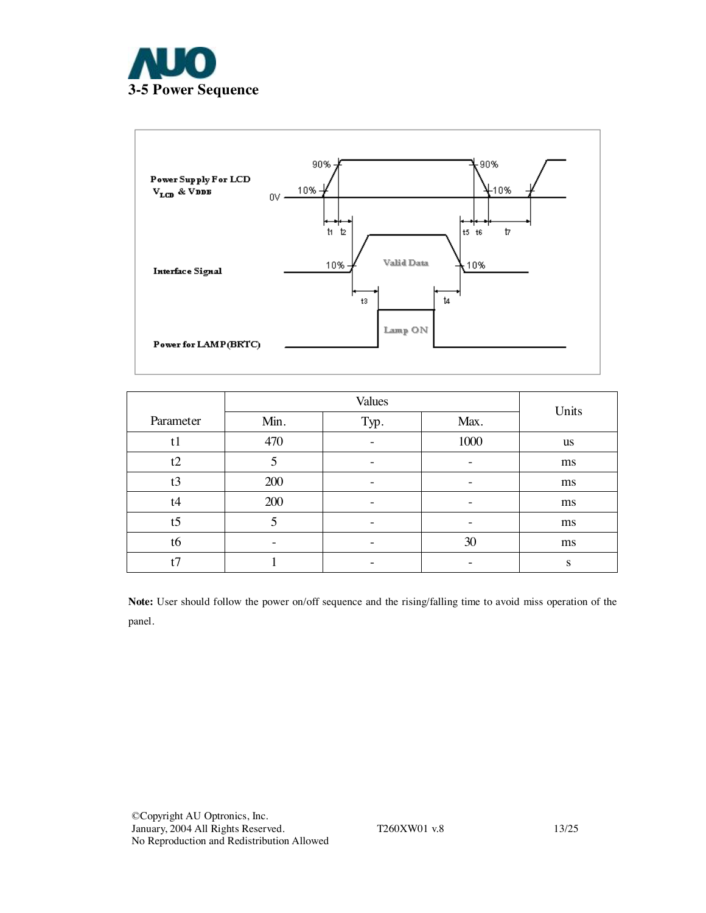



|                |      | <b>Values</b> |      | Units     |
|----------------|------|---------------|------|-----------|
| Parameter      | Min. | Typ.          | Max. |           |
| t <sub>1</sub> | 470  |               | 1000 | <b>us</b> |
| t2             | 5    |               |      | ms        |
| t3             | 200  |               |      | ms        |
| t4             | 200  |               |      | ms        |
| t <sub>5</sub> | 5    |               |      | ms        |
| t6             | -    |               | 30   | ms        |
| t7             |      | -             |      | S         |

**Note:** User should follow the power on/off sequence and the rising/falling time to avoid miss operation of the panel.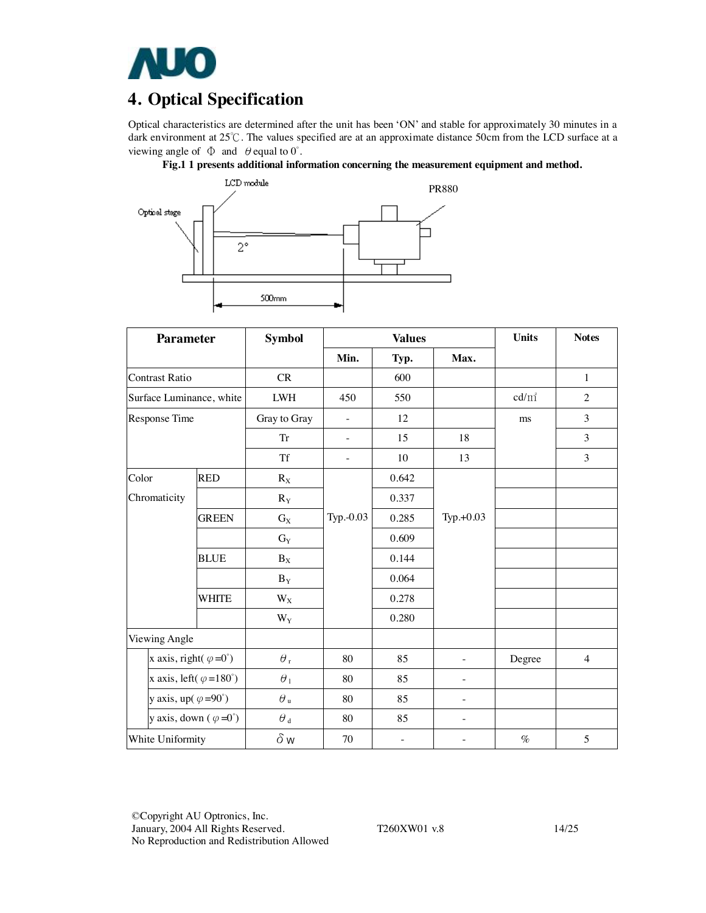

# **4. Optical Specification**

Optical characteristics are determined after the unit has been 'ON' and stable for approximately 30 minutes in a dark environment at 25℃. The values specified are at an approximate distance 50cm from the LCD surface at a viewing angle of  $\Phi$  and  $\theta$  equal to  $0^\circ$ .





| <b>Parameter</b>                   |                                        | <b>Symbol</b>       |                          | <b>Values</b>            |                          | <b>Units</b> | <b>Notes</b>   |
|------------------------------------|----------------------------------------|---------------------|--------------------------|--------------------------|--------------------------|--------------|----------------|
|                                    |                                        |                     | Min.                     | Typ.                     | Max.                     |              |                |
| <b>Contrast Ratio</b>              |                                        | CR                  |                          | 600                      |                          |              | $\mathbf{1}$   |
| Surface Luminance, white           |                                        | <b>LWH</b>          | 450                      | 550                      |                          | $cd/m^2$     | $\overline{2}$ |
| Response Time                      |                                        | Gray to Gray        | $\bar{a}$                | 12                       |                          | ms           | 3              |
|                                    |                                        | <b>Tr</b>           | $\overline{\phantom{a}}$ | 15                       | 18                       |              | 3              |
|                                    |                                        | <b>Tf</b>           | $\equiv$                 | 10                       | 13                       |              | 3              |
| Color                              | <b>RED</b>                             | $R_X$               |                          | 0.642                    |                          |              |                |
| Chromaticity                       |                                        | $R_Y$               |                          | 0.337                    |                          |              |                |
|                                    | <b>GREEN</b>                           | $G_X$               | Typ.-0.03                | 0.285                    | Typ. $+0.03$             |              |                |
|                                    |                                        | $G_Y$               |                          | 0.609                    |                          |              |                |
|                                    | <b>BLUE</b>                            | $B_X$               |                          | 0.144                    |                          |              |                |
|                                    |                                        | $B_Y$               |                          | 0.064                    |                          |              |                |
|                                    | <b>WHITE</b>                           | $W_X$               |                          | 0.278                    |                          |              |                |
|                                    |                                        | $W_Y$               |                          | 0.280                    |                          |              |                |
| Viewing Angle                      |                                        |                     |                          |                          |                          |              |                |
|                                    | x axis, right( $\varphi = 0^{\circ}$ ) | $\theta_{\rm r}$    | 80                       | 85                       | ÷,                       | Degree       | $\overline{4}$ |
|                                    | x axis, left( $\varphi = 180^\circ$ )  | $\theta_1$          | 80                       | 85                       |                          |              |                |
| y axis, up( $\varphi = 90^\circ$ ) |                                        | $\theta$ u          | 80                       | 85                       | $\equiv$                 |              |                |
|                                    | y axis, down $(\varphi = 0^{\circ})$   | $\theta$ $_{\rm d}$ | 80                       | 85                       | ÷,                       |              |                |
| White Uniformity                   |                                        | $\delta$ w          | 70                       | $\overline{\phantom{a}}$ | $\overline{\phantom{0}}$ | $\%$         | 5              |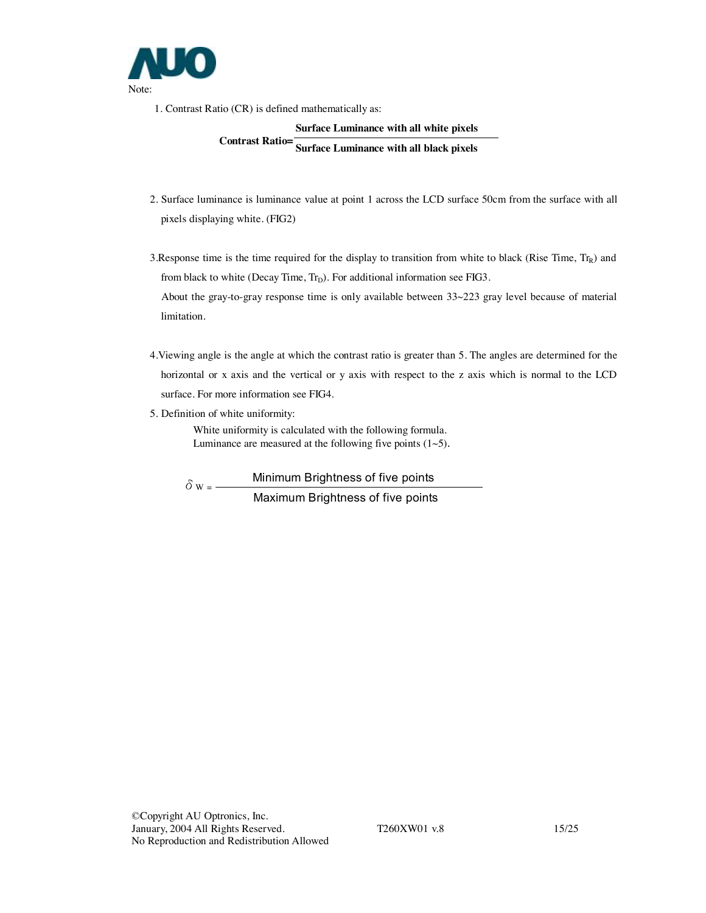

limitation.

1. Contrast Ratio (CR) is defined mathematically as:

#### **Surface Luminance with all white pixels**

**Contrast Ratio= Surface Luminance with all black pixels** 

- 2. Surface luminance is luminance value at point 1 across the LCD surface 50cm from the surface with all pixels displaying white. (FIG2)
- 3. Response time is the time required for the display to transition from white to black (Rise Time,  $Tr_R$ ) and from black to white (Decay Time,  $Tr_D$ ). For additional information see FIG3. About the gray-to-gray response time is only available between 33~223 gray level because of material
- 4.Viewing angle is the angle at which the contrast ratio is greater than 5. The angles are determined for the horizontal or x axis and the vertical or y axis with respect to the z axis which is normal to the LCD surface. For more information see FIG4.
- 5. Definition of white uniformity:

White uniformity is calculated with the following formula. Luminance are measured at the following five points  $(1~5)$ .

 $\delta_{W}$  = Minimum Brightness of five points Maximum Brightness of five points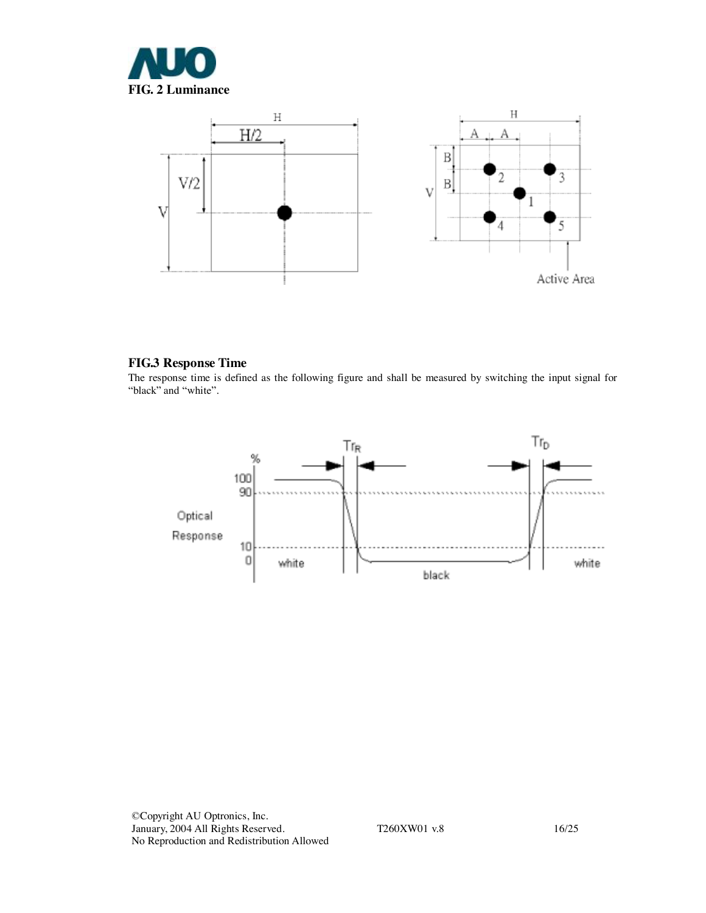



### **FIG.3 Response Time**

The response time is defined as the following figure and shall be measured by switching the input signal for "black" and "white".

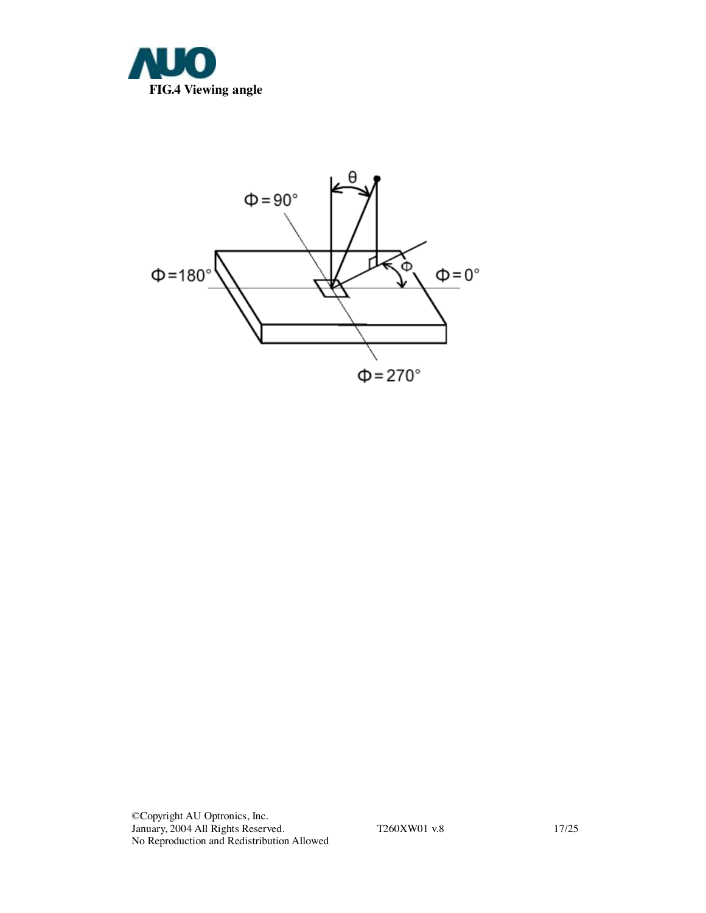



©Copyright AU Optronics, Inc. January, 2004 All Rights Reserved. T260XW01 v.8 17/25 No Reproduction and Redistribution Allowed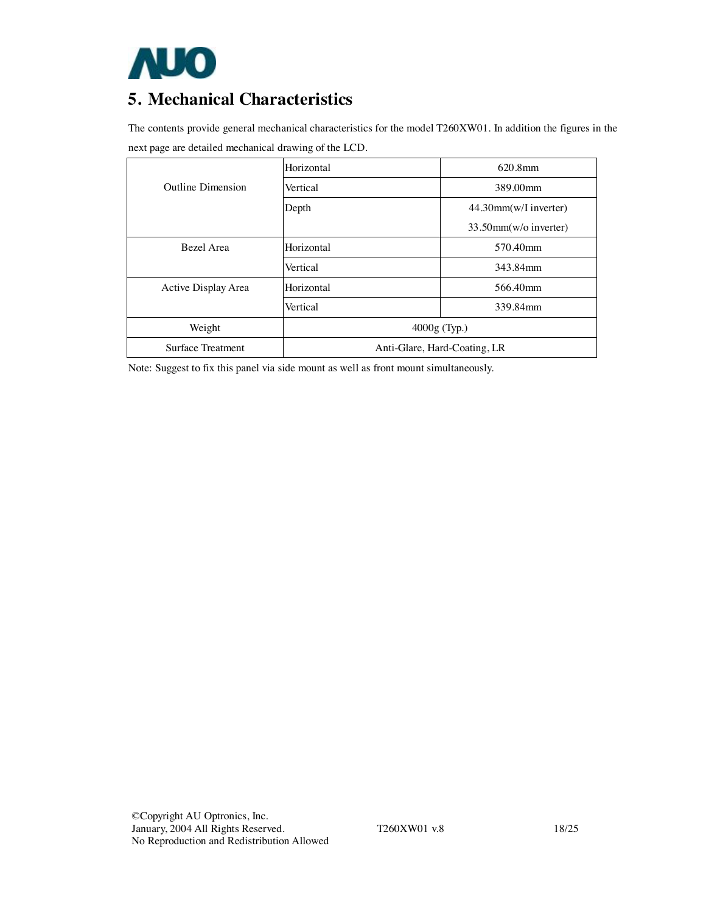

# **5. Mechanical Characteristics**

The contents provide general mechanical characteristics for the model T260XW01. In addition the figures in the next page are detailed mechanical drawing of the LCD.

|                          | Horizontal     | 620.8mm                      |
|--------------------------|----------------|------------------------------|
| Outline Dimension        | Vertical       | 389.00mm                     |
|                          | Depth          | 44.30mm(w/I inverter)        |
|                          |                | $33.50$ mm(w/o inverter)     |
| <b>Bezel</b> Area        | Horizontal     | 570.40mm                     |
|                          | Vertical       | 343.84mm                     |
| Active Display Area      | Horizontal     | 566.40mm                     |
|                          | Vertical       | 339.84mm                     |
| Weight                   | $4000g$ (Typ.) |                              |
| <b>Surface Treatment</b> |                | Anti-Glare, Hard-Coating, LR |

Note: Suggest to fix this panel via side mount as well as front mount simultaneously.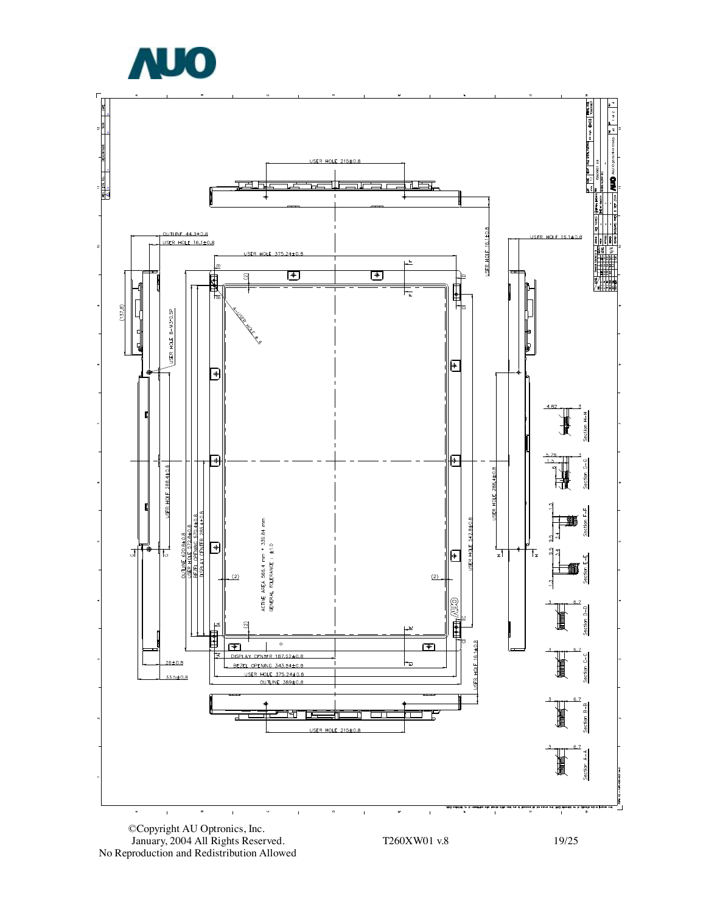





T26 0 X W01 v .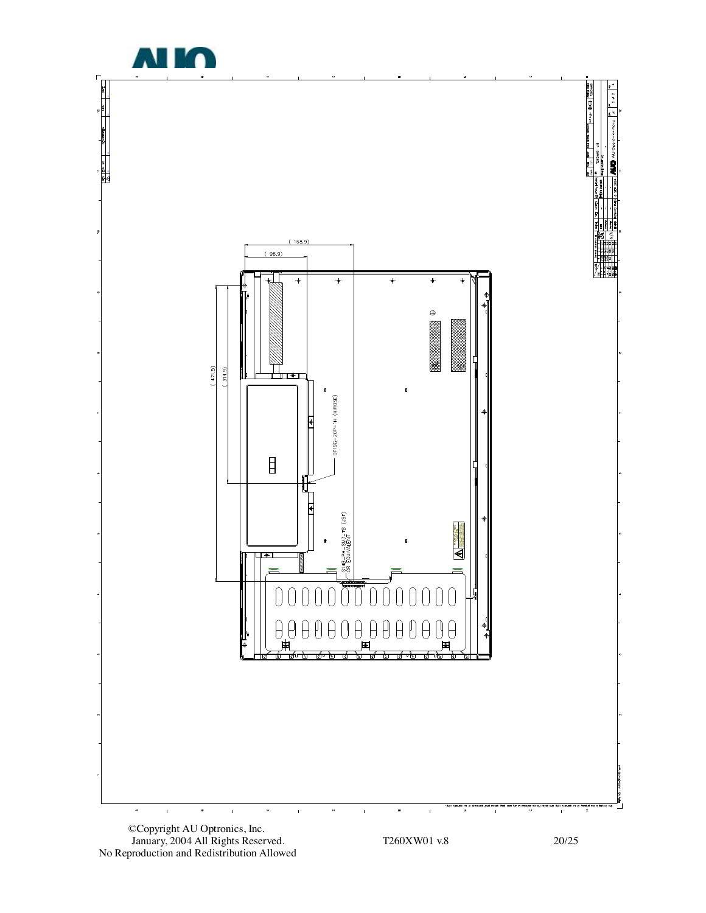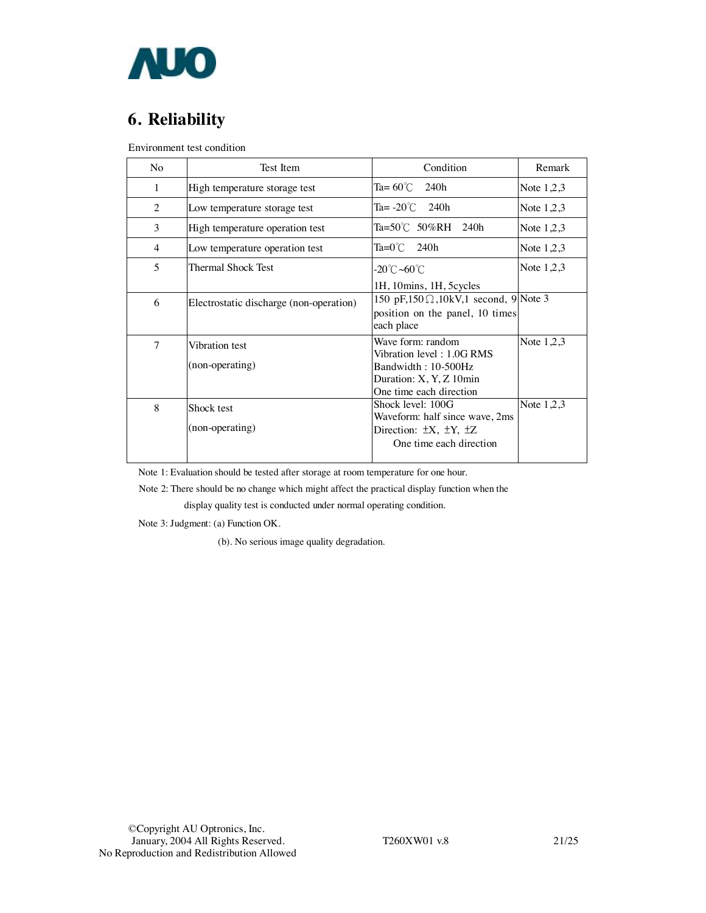

# **6. Reliability**

Environment test condition

| N <sub>o</sub> | Test Item                               | Condition                                                                                                                   | Remark       |
|----------------|-----------------------------------------|-----------------------------------------------------------------------------------------------------------------------------|--------------|
| 1              | High temperature storage test           | Ta= $60^{\circ}$ C<br>240h                                                                                                  | Note $1,2,3$ |
| 2              | Low temperature storage test            | Ta= $-20^{\circ}$ C 240h                                                                                                    | Note $1,2,3$ |
| 3              | High temperature operation test         | Ta=50℃ 50%RH 240h                                                                                                           | Note $1,2,3$ |
| $\overline{4}$ | Low temperature operation test          | $Ta=0^{\circ}$ C 240h                                                                                                       | Note $1,2,3$ |
| 5              | Thermal Shock Test                      | -20℃~60℃<br>1H, 10mins, 1H, 5cycles                                                                                         | Note $1,2,3$ |
| 6              | Electrostatic discharge (non-operation) | 150 pF,150 $\Omega$ ,10kV,1 second, 9 Note 3<br>position on the panel, 10 times<br>each place                               |              |
| $\overline{7}$ | Vibration test<br>(non-operating)       | Wave form: random<br>Vibration level: 1.0G RMS<br>Bandwidth: 10-500Hz<br>Duration: X, Y, Z 10min<br>One time each direction | Note $1,2,3$ |
| 8              | Shock test<br>(non-operating)           | Shock level: 100G<br>Waveform: half since wave, 2ms<br>Direction: $\pm X$ , $\pm Y$ , $\pm Z$<br>One time each direction    | Note $1,2,3$ |

Note 1: Evaluation should be tested after storage at room temperature for one hour.

Note 2: There should be no change which might affect the practical display function when the

display quality test is conducted under normal operating condition.

Note 3: Judgment: (a) Function OK.

(b). No serious image quality degradation.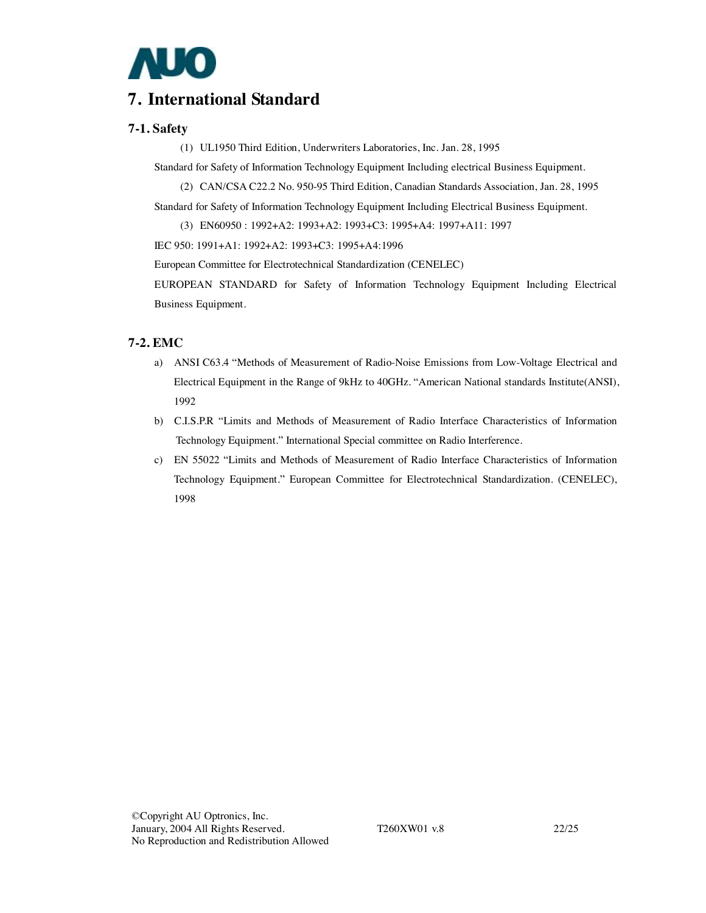

## **7. International Standard**

### **7-1. Safety**

(1) UL1950 Third Edition, Underwriters Laboratories, Inc. Jan. 28, 1995

Standard for Safety of Information Technology Equipment Including electrical Business Equipment.

(2) CAN/CSA C22.2 No. 950-95 Third Edition, Canadian Standards Association, Jan. 28, 1995

Standard for Safety of Information Technology Equipment Including Electrical Business Equipment.

(3) EN60950 : 1992+A2: 1993+A2: 1993+C3: 1995+A4: 1997+A11: 1997

IEC 950: 1991+A1: 1992+A2: 1993+C3: 1995+A4:1996

European Committee for Electrotechnical Standardization (CENELEC)

EUROPEAN STANDARD for Safety of Information Technology Equipment Including Electrical Business Equipment.

## **7-2. EMC**

- a) ANSI C63.4 "Methods of Measurement of Radio-Noise Emissions from Low-Voltage Electrical and Electrical Equipment in the Range of 9kHz to 40GHz. "American National standards Institute(ANSI), 1992
- b) C.I.S.P.R "Limits and Methods of Measurement of Radio Interface Characteristics of Information Technology Equipment." International Special committee on Radio Interference.
- c) EN 55022 "Limits and Methods of Measurement of Radio Interface Characteristics of Information Technology Equipment." European Committee for Electrotechnical Standardization. (CENELEC), 1998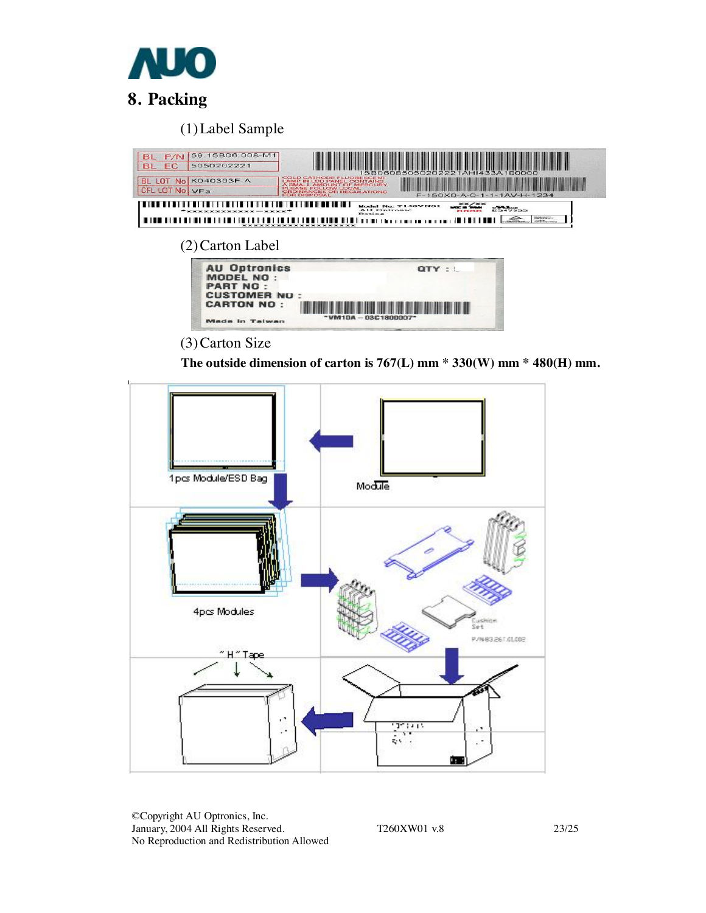

(1)Label Sample

| <b>BL</b><br>P/N<br>BL FC | 59.15B06.008-M1<br>5050202221 | 5806                                                                                                                                                                                                        |
|---------------------------|-------------------------------|-------------------------------------------------------------------------------------------------------------------------------------------------------------------------------------------------------------|
| BL.<br>CFL LOT No VFa     | LOT No K040303F-A             | COLD CATHODE FLUORESCENT<br><b>LAMP IN LCD PANEL CONTAINS</b><br>A SMALL AMOUNT OF MERCURY.<br>PLEASE FOLLOW LOCAL<br><b>ORDINANCES OR REGULATIONS</b><br><b>FOR DISPOSAL</b><br>F-150X0-A-0-1-1-1AV-H-1234 |
|                           | *xxxxxxxxxxxx - xxxx          | $-$<br><b>AU Optronic</b><br><b>E247522</b><br>Film Kilm at<br>meanwhile.<br>.<br><b>Total County</b>                                                                                                       |
|                           | (2) Carton Label              |                                                                                                                                                                                                             |

## (3)Carton Size

 **The outside dimension of carton is 767(L) mm \* 330(W) mm \* 480(H) mm.** 



©Copyright AU Optronics, Inc. January, 2004 All Rights Reserved. T260XW01 v.8 23/25 No Reproduction and Redistribution Allowed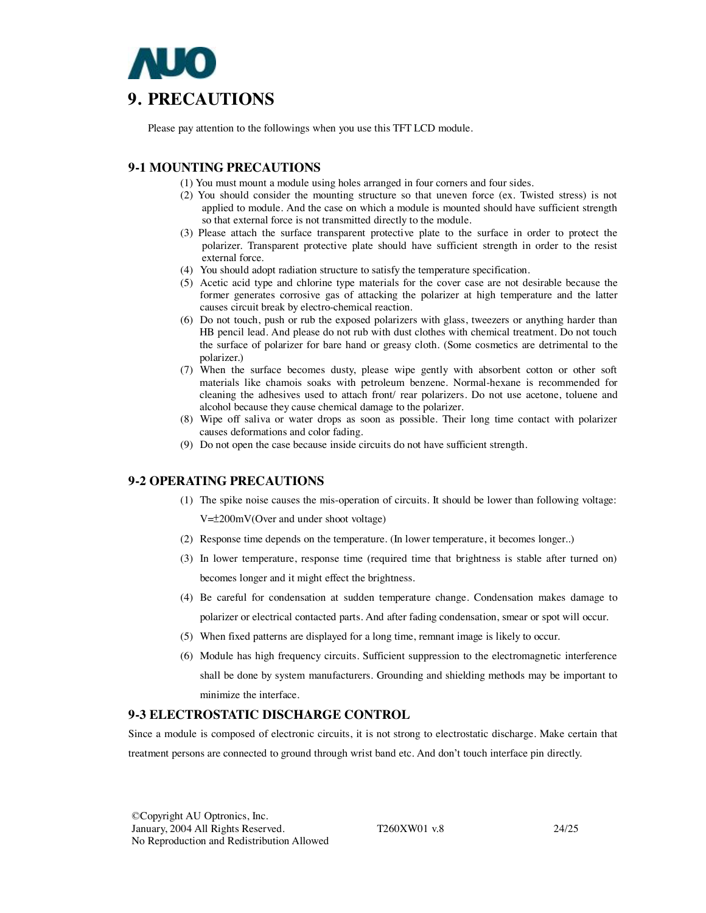

Please pay attention to the followings when you use this TFT LCD module.

### **9-1 MOUNTING PRECAUTIONS**

- (1) You must mount a module using holes arranged in four corners and four sides.
- (2) You should consider the mounting structure so that uneven force (ex. Twisted stress) is not applied to module. And the case on which a module is mounted should have sufficient strength so that external force is not transmitted directly to the module.
- (3) Please attach the surface transparent protective plate to the surface in order to protect the polarizer. Transparent protective plate should have sufficient strength in order to the resist external force.
- (4) You should adopt radiation structure to satisfy the temperature specification.
- (5) Acetic acid type and chlorine type materials for the cover case are not desirable because the former generates corrosive gas of attacking the polarizer at high temperature and the latter causes circuit break by electro-chemical reaction.
- (6) Do not touch, push or rub the exposed polarizers with glass, tweezers or anything harder than HB pencil lead. And please do not rub with dust clothes with chemical treatment. Do not touch the surface of polarizer for bare hand or greasy cloth. (Some cosmetics are detrimental to the polarizer.)
- (7) When the surface becomes dusty, please wipe gently with absorbent cotton or other soft materials like chamois soaks with petroleum benzene. Normal-hexane is recommended for cleaning the adhesives used to attach front/ rear polarizers. Do not use acetone, toluene and alcohol because they cause chemical damage to the polarizer.
- (8) Wipe off saliva or water drops as soon as possible. Their long time contact with polarizer causes deformations and color fading.
- (9) Do not open the case because inside circuits do not have sufficient strength.

#### **9-2 OPERATING PRECAUTIONS**

(1) The spike noise causes the mis-operation of circuits. It should be lower than following voltage:

V=±200mV(Over and under shoot voltage)

- (2) Response time depends on the temperature. (In lower temperature, it becomes longer..)
- (3) In lower temperature, response time (required time that brightness is stable after turned on) becomes longer and it might effect the brightness.
- (4) Be careful for condensation at sudden temperature change. Condensation makes damage to polarizer or electrical contacted parts. And after fading condensation, smear or spot will occur.
- (5) When fixed patterns are displayed for a long time, remnant image is likely to occur.
- (6) Module has high frequency circuits. Sufficient suppression to the electromagnetic interference shall be done by system manufacturers. Grounding and shielding methods may be important to minimize the interface.

#### **9-3 ELECTROSTATIC DISCHARGE CONTROL**

Since a module is composed of electronic circuits, it is not strong to electrostatic discharge. Make certain that treatment persons are connected to ground through wrist band etc. And don't touch interface pin directly.

©Copyright AU Optronics, Inc. January, 2004 All Rights Reserved. T260XW01 v.8 24/25 No Reproduction and Redistribution Allowed